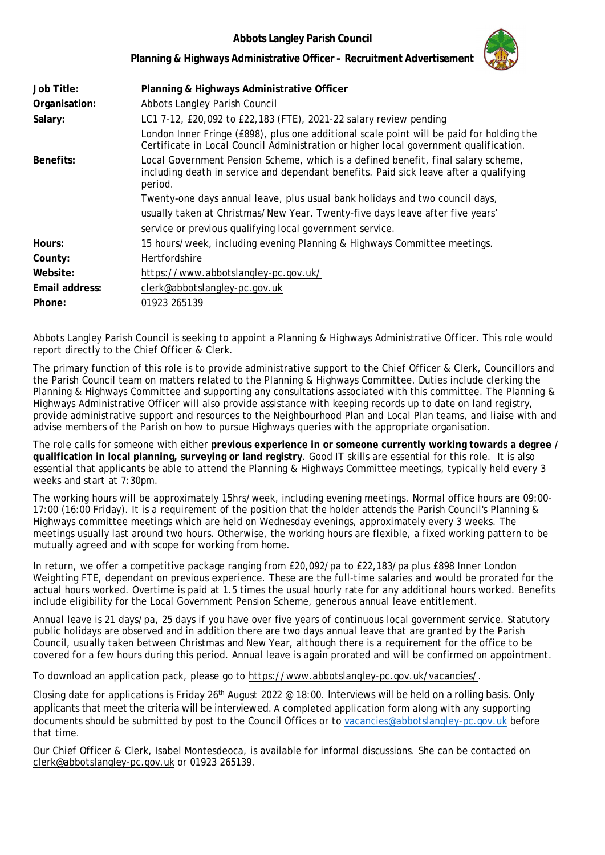## **Abbots Langley Parish Council**



**Planning & Highways Administrative Officer – Recruitment Advertisement**

| Job Title:     | Planning & Highways Administrative Officer                                                                                                                                            |
|----------------|---------------------------------------------------------------------------------------------------------------------------------------------------------------------------------------|
| Organisation:  | Abbots Langley Parish Council                                                                                                                                                         |
| Salary:        | LC1 7-12, £20,092 to £22,183 (FTE), 2021-22 salary review pending                                                                                                                     |
|                | London Inner Fringe (£898), plus one additional scale point will be paid for holding the<br>Certificate in Local Council Administration or higher local government qualification.     |
| Benefits:      | Local Government Pension Scheme, which is a defined benefit, final salary scheme,<br>including death in service and dependant benefits. Paid sick leave after a qualifying<br>period. |
|                | Twenty-one days annual leave, plus usual bank holidays and two council days,                                                                                                          |
|                | usually taken at Christmas/New Year. Twenty-five days leave after five years'                                                                                                         |
|                | service or previous qualifying local government service.                                                                                                                              |
| Hours:         | 15 hours/week, including evening Planning & Highways Committee meetings.                                                                                                              |
| County:        | <b>Hertfordshire</b>                                                                                                                                                                  |
| Website:       | https://www.abbotslangley-pc.gov.uk/                                                                                                                                                  |
| Email address: | clerk@abbotslangley-pc.gov.uk                                                                                                                                                         |
| Phone:         | 01923 265139                                                                                                                                                                          |

Abbots Langley Parish Council is seeking to appoint a Planning & Highways Administrative Officer. This role would report directly to the Chief Officer & Clerk.

The primary function of this role is to provide administrative support to the Chief Officer & Clerk, Councillors and the Parish Council team on matters related to the Planning & Highways Committee. Duties include clerking the Planning & Highways Committee and supporting any consultations associated with this committee. The Planning & Highways Administrative Officer will also provide assistance with keeping records up to date on land registry, provide administrative support and resources to the Neighbourhood Plan and Local Plan teams, and liaise with and advise members of the Parish on how to pursue Highways queries with the appropriate organisation.

The role calls for someone with either **previous experience in or someone currently working towards a degree / qualification in local planning, surveying or land registry**. Good IT skills are essential for this role. It is also essential that applicants be able to attend the Planning & Highways Committee meetings, typically held every 3 weeks and start at 7:30pm.

The working hours will be approximately 15hrs/week, including evening meetings. Normal office hours are 09:00- 17:00 (16:00 Friday). It is a requirement of the position that the holder attends the Parish Council's Planning & Highways committee meetings which are held on Wednesday evenings, approximately every 3 weeks. The meetings usually last around two hours. Otherwise, the working hours are flexible, a fixed working pattern to be mutually agreed and with scope for working from home.

In return, we offer a competitive package ranging from £20,092/pa to £22,183/pa plus £898 Inner London Weighting FTE, dependant on previous experience. These are the full-time salaries and would be prorated for the actual hours worked. Overtime is paid at 1.5 times the usual hourly rate for any additional hours worked. Benefits include eligibility for the Local Government Pension Scheme, generous annual leave entitlement.

Annual leave is 21 days/pa, 25 days if you have over five years of continuous local government service. Statutory public holidays are observed and in addition there are two days annual leave that are granted by the Parish Council, usually taken between Christmas and New Year, although there is a requirement for the office to be covered for a few hours during this period. Annual leave is again prorated and will be confirmed on appointment.

To download an application pack, please go to https://www.abbotslangley-pc.gov.uk/vacancies/.

Closing date for applications is Friday 26<sup>th</sup> August 2022 @ 18:00. Interviews will be held on a rolling basis. Only applicants that meet the criteria will be interviewed. A completed application form along with any supporting documents should be submitted by post to the Council Offices or to vacancies@abbotslangley-pc.gov.uk before that time.

Our Chief Officer & Clerk, Isabel Montesdeoca, is available for informal discussions. She can be contacted on clerk@abbotslangley-pc.gov.uk or 01923 265139.